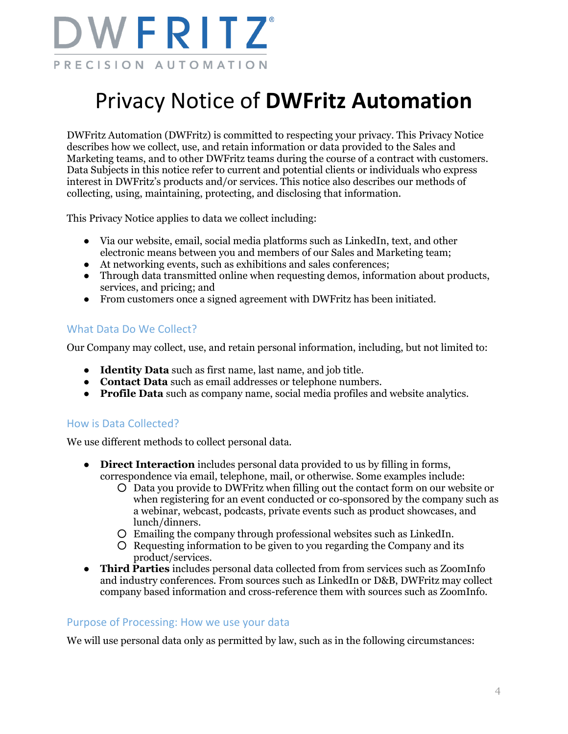

# Privacy Notice of **DWFritz Automation**

DWFritz Automation (DWFritz) is committed to respecting your privacy. This Privacy Notice describes how we collect, use, and retain information or data provided to the Sales and Marketing teams, and to other DWFritz teams during the course of a contract with customers. Data Subjects in this notice refer to current and potential clients or individuals who express interest in DWFritz's products and/or services. This notice also describes our methods of collecting, using, maintaining, protecting, and disclosing that information.

This Privacy Notice applies to data we collect including:

- Via our website, email, social media platforms such as LinkedIn, text, and other electronic means between you and members of our Sales and Marketing team;
- At networking events, such as exhibitions and sales conferences;
- Through data transmitted online when requesting demos, information about products, services, and pricing; and
- From customers once a signed agreement with DWFritz has been initiated.

## What Data Do We Collect?

Our Company may collect, use, and retain personal information, including, but not limited to:

- **Identity Data** such as first name, last name, and job title.
- **Contact Data** such as email addresses or telephone numbers.
- **Profile Data** such as company name, social media profiles and website analytics.

## How is Data Collected?

We use different methods to collect personal data.

- **Direct Interaction** includes personal data provided to us by filling in forms, correspondence via email, telephone, mail, or otherwise. Some examples include:
	- Data you provide to DWFritz when filling out the contact form on our website or when registering for an event conducted or co-sponsored by the company such as a webinar, webcast, podcasts, private events such as product showcases, and lunch/dinners.
	- Emailing the company through professional websites such as LinkedIn.
	- Requesting information to be given to you regarding the Company and its product/services.
- **Third Parties** includes personal data collected from from services such as ZoomInfo and industry conferences. From sources such as LinkedIn or D&B, DWFritz may collect company based information and cross-reference them with sources such as ZoomInfo.

#### Purpose of Processing: How we use your data

We will use personal data only as permitted by law, such as in the following circumstances: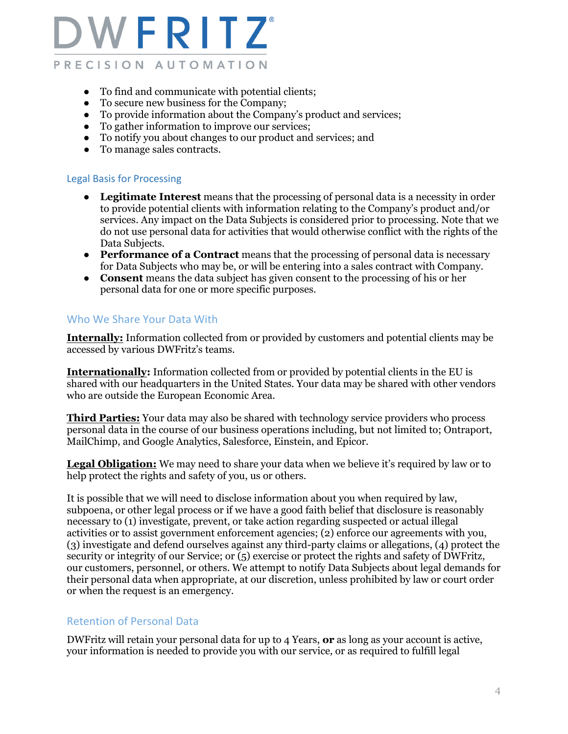

- To find and communicate with potential clients;
- To secure new business for the Company;
- To provide information about the Company's product and services;
- To gather information to improve our services;
- To notify you about changes to our product and services; and
- To manage sales contracts.

#### Legal Basis for Processing

- **Legitimate Interest** means that the processing of personal data is a necessity in order to provide potential clients with information relating to the Company's product and/or services. Any impact on the Data Subjects is considered prior to processing. Note that we do not use personal data for activities that would otherwise conflict with the rights of the Data Subjects.
- **Performance of a Contract** means that the processing of personal data is necessary for Data Subjects who may be, or will be entering into a sales contract with Company.
- **Consent** means the data subject has given consent to the processing of his or her personal data for one or more specific purposes.

#### Who We Share Your Data With

**Internally:** Information collected from or provided by customers and potential clients may be accessed by various DWFritz's teams.

**Internationally:** Information collected from or provided by potential clients in the EU is shared with our headquarters in the United States. Your data may be shared with other vendors who are outside the European Economic Area.

**Third Parties:** Your data may also be shared with technology service providers who process personal data in the course of our business operations including, but not limited to; Ontraport, MailChimp, and Google Analytics, Salesforce, Einstein, and Epicor.

**Legal Obligation:** We may need to share your data when we believe it's required by law or to help protect the rights and safety of you, us or others.

It is possible that we will need to disclose information about you when required by law, subpoena, or other legal process or if we have a good faith belief that disclosure is reasonably necessary to (1) investigate, prevent, or take action regarding suspected or actual illegal activities or to assist government enforcement agencies; (2) enforce our agreements with you, (3) investigate and defend ourselves against any third-party claims or allegations, (4) protect the security or integrity of our Service; or (5) exercise or protect the rights and safety of DWFritz, our customers, personnel, or others. We attempt to notify Data Subjects about legal demands for their personal data when appropriate, at our discretion, unless prohibited by law or court order or when the request is an emergency.

## Retention of Personal Data

DWFritz will retain your personal data for up to 4 Years, **or** as long as your account is active, your information is needed to provide you with our service*,* or as required to fulfill legal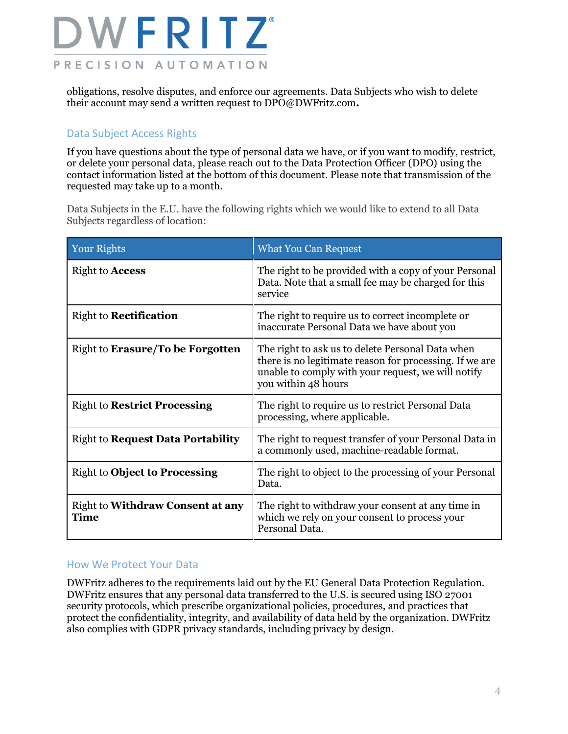

obligations, resolve disputes, and enforce our agreements. Data Subjects who wish to delete their account may send a written request to DPO@DWFritz.com**.** 

#### Data Subject Access Rights

If you have questions about the type of personal data we have, or if you want to modify, restrict, or delete your personal data, please reach out to the Data Protection Officer (DPO) using the contact information listed at the bottom of this document. Please note that transmission of the requested may take up to a month.

Data Subjects in the E.U. have the following rights which we would like to extend to all Data Subjects regardless of location:

| Your Rights                                     | <b>What You Can Request</b>                                                                                                                                                              |  |
|-------------------------------------------------|------------------------------------------------------------------------------------------------------------------------------------------------------------------------------------------|--|
| Right to <b>Access</b>                          | The right to be provided with a copy of your Personal<br>Data. Note that a small fee may be charged for this<br>service                                                                  |  |
| <b>Right to Rectification</b>                   | The right to require us to correct incomplete or<br>inaccurate Personal Data we have about you                                                                                           |  |
| Right to Erasure/To be Forgotten                | The right to ask us to delete Personal Data when<br>there is no legitimate reason for processing. If we are<br>unable to comply with your request, we will notify<br>you within 48 hours |  |
| <b>Right to Restrict Processing</b>             | The right to require us to restrict Personal Data<br>processing, where applicable.                                                                                                       |  |
| <b>Right to Request Data Portability</b>        | The right to request transfer of your Personal Data in<br>a commonly used, machine-readable format.                                                                                      |  |
| <b>Right to Object to Processing</b>            | The right to object to the processing of your Personal<br>Data.                                                                                                                          |  |
| <b>Right to Withdraw Consent at any</b><br>Time | The right to withdraw your consent at any time in<br>which we rely on your consent to process your<br>Personal Data.                                                                     |  |

#### How We Protect Your Data

DWFritz adheres to the requirements laid out by the EU General Data Protection Regulation. DWFritz ensures that any personal data transferred to the U.S. is secured using ISO 27001 security protocols, which prescribe organizational policies, procedures, and practices that protect the confidentiality, integrity, and availability of data held by the organization. DWFritz also complies with GDPR privacy standards, including privacy by design.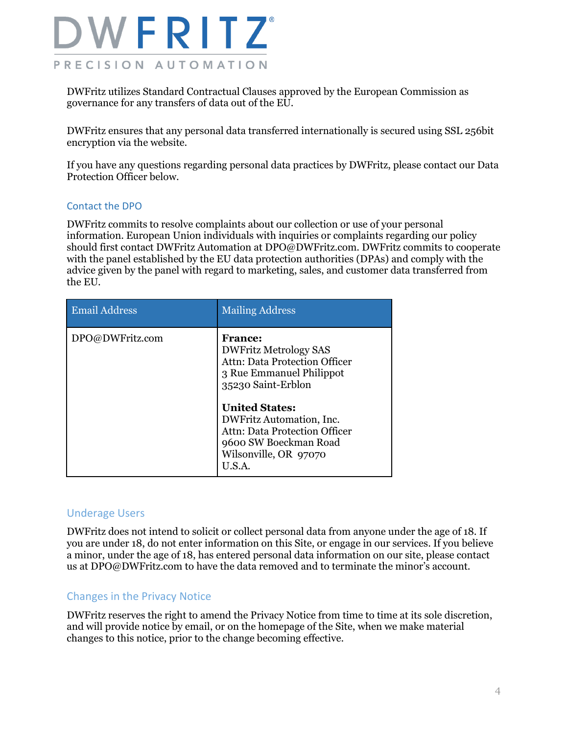

DWFritz utilizes Standard Contractual Clauses approved by the European Commission as governance for any transfers of data out of the EU.

DWFritz ensures that any personal data transferred internationally is secured using SSL 256bit encryption via the website.

If you have any questions regarding personal data practices by DWFritz, please contact our Data Protection Officer below.

#### Contact the DPO

DWFritz commits to resolve complaints about our collection or use of your personal information. European Union individuals with inquiries or complaints regarding our policy should first contact DWFritz Automation at DPO@DWFritz.com. DWFritz commits to cooperate with the panel established by the EU data protection authorities (DPAs) and comply with the advice given by the panel with regard to marketing, sales, and customer data transferred from the EU.

| <b>Email Address</b> | <b>Mailing Address</b>                                                                                                                                                                                                                                                                    |
|----------------------|-------------------------------------------------------------------------------------------------------------------------------------------------------------------------------------------------------------------------------------------------------------------------------------------|
| DPO@DWFritz.com      | <b>France:</b><br><b>DWFritz Metrology SAS</b><br><b>Attn: Data Protection Officer</b><br>3 Rue Emmanuel Philippot<br>35230 Saint-Erblon<br><b>United States:</b><br>DWFritz Automation, Inc.<br>Attn: Data Protection Officer<br>9600 SW Boeckman Road<br>Wilsonville, OR 97070<br>U.S.A |

#### Underage Users

DWFritz does not intend to solicit or collect personal data from anyone under the age of 18. If you are under 18, do not enter information on this Site, or engage in our services. If you believe a minor, under the age of 18, has entered personal data information on our site, please contact us at DPO@DWFritz.com to have the data removed and to terminate the minor's account.

#### Changes in the Privacy Notice

DWFritz reserves the right to amend the Privacy Notice from time to time at its sole discretion, and will provide notice by email, or on the homepage of the Site, when we make material changes to this notice, prior to the change becoming effective.